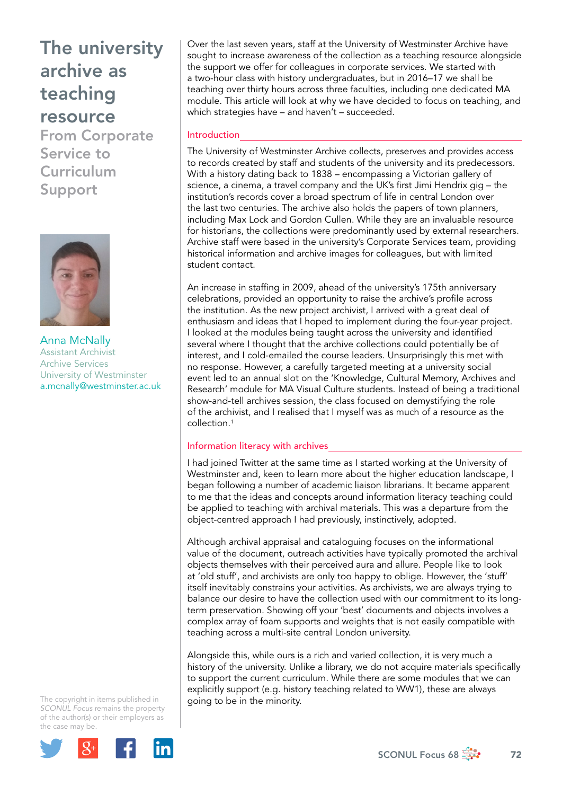From Corporate Service to Curriculum Support



Anna McNally Assistant Archivist Archive Services University of Westminster [a.mcnally@westminster.ac.uk](mailto:a.mcnally@westminster.ac.uk)

The copyright in items published in *SCONUL Focus* remains the property of the author(s) or their employers as the case may be.



Over the last seven years, staff at the University of Westminster Archive have sought to increase awareness of the collection as a teaching resource alongside the support we offer for colleagues in corporate services. We started with a two-hour class with history undergraduates, but in 2016–17 we shall be teaching over thirty hours across three faculties, including one dedicated MA module. This article will look at why we have decided to focus on teaching, and which strategies have – and haven't – succeeded.

### Introduction

The University of Westminster Archive collects, preserves and provides access to records created by staff and students of the university and its predecessors. With a history dating back to 1838 – encompassing a Victorian gallery of science, a cinema, a travel company and the UK's first Jimi Hendrix gig – the institution's records cover a broad spectrum of life in central London over the last two centuries. The archive also holds the papers of town planners, including Max Lock and Gordon Cullen. While they are an invaluable resource for historians, the collections were predominantly used by external researchers. Archive staff were based in the university's Corporate Services team, providing historical information and archive images for colleagues, but with limited student contact.

An increase in staffing in 2009, ahead of the university's 175th anniversary celebrations, provided an opportunity to raise the archive's profile across the institution. As the new project archivist, I arrived with a great deal of enthusiasm and ideas that I hoped to implement during the four-year project. I looked at the modules being taught across the university and identified several where I thought that the archive collections could potentially be of interest, and I cold-emailed the course leaders. Unsurprisingly this met with no response. However, a carefully targeted meeting at a university social event led to an annual slot on the 'Knowledge, Cultural Memory, Archives and Research' module for MA Visual Culture students. Instead of being a traditional show-and-tell archives session, the class focused on demystifying the role of the archivist, and I realised that I myself was as much of a resource as the collection.1

### Information literacy with archives

I had joined Twitter at the same time as I started working at the University of Westminster and, keen to learn more about the higher education landscape, I began following a number of academic liaison librarians. It became apparent to me that the ideas and concepts around information literacy teaching could be applied to teaching with archival materials. This was a departure from the object-centred approach I had previously, instinctively, adopted.

Although archival appraisal and cataloguing focuses on the informational value of the document, outreach activities have typically promoted the archival objects themselves with their perceived aura and allure. People like to look at 'old stuff', and archivists are only too happy to oblige. However, the 'stuff' itself inevitably constrains your activities. As archivists, we are always trying to balance our desire to have the collection used with our commitment to its longterm preservation. Showing off your 'best' documents and objects involves a complex array of foam supports and weights that is not easily compatible with teaching across a multi-site central London university.

Alongside this, while ours is a rich and varied collection, it is very much a history of the university. Unlike a library, we do not acquire materials specifically to support the current curriculum. While there are some modules that we can explicitly support (e.g. history teaching related to WW1), these are always going to be in the minority.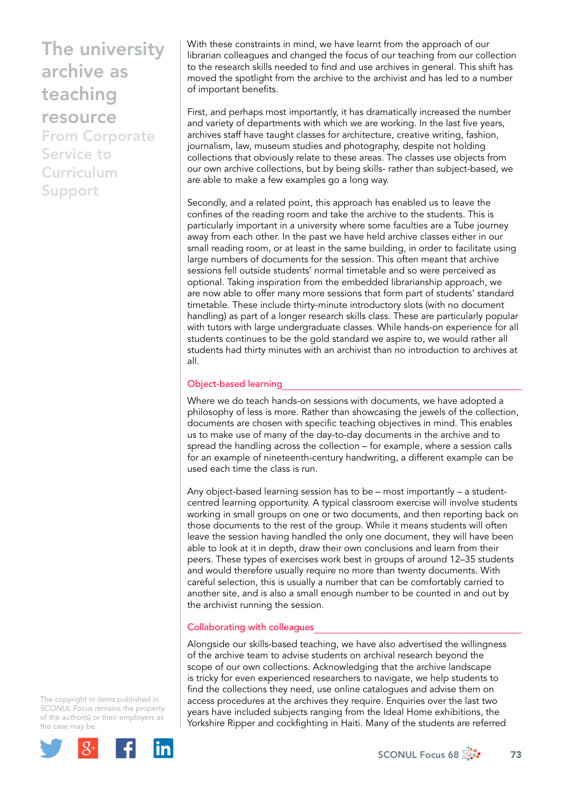From Corporate Service to Curriculum Support

With these constraints in mind, we have learnt from the approach of our librarian colleagues and changed the focus of our teaching from our collection to the research skills needed to find and use archives in general. This shift has moved the spotlight from the archive to the archivist and has led to a number of important benefits.

First, and perhaps most importantly, it has dramatically increased the number and variety of departments with which we are working. In the last five years, archives staff have taught classes for architecture, creative writing, fashion, journalism, law, museum studies and photography, despite not holding collections that obviously relate to these areas. The classes use objects from our own archive collections, but by being skills- rather than subject-based, we are able to make a few examples go a long way.

Secondly, and a related point, this approach has enabled us to leave the confines of the reading room and take the archive to the students. This is particularly important in a university where some faculties are a Tube journey away from each other. In the past we have held archive classes either in our small reading room, or at least in the same building, in order to facilitate using large numbers of documents for the session. This often meant that archive sessions fell outside students' normal timetable and so were perceived as optional. Taking inspiration from the embedded librarianship approach, we are now able to offer many more sessions that form part of students' standard timetable. These include thirty-minute introductory slots (with no document handling) as part of a longer research skills class. These are particularly popular with tutors with large undergraduate classes. While hands-on experience for all students continues to be the gold standard we aspire to, we would rather all students had thirty minutes with an archivist than no introduction to archives at all.

### Object-based learning

Where we do teach hands-on sessions with documents, we have adopted a philosophy of less is more. Rather than showcasing the jewels of the collection, documents are chosen with specific teaching objectives in mind. This enables us to make use of many of the day-to-day documents in the archive and to spread the handling across the collection – for example, where a session calls for an example of nineteenth-century handwriting, a different example can be used each time the class is run.

Any object-based learning session has to be – most importantly – a studentcentred learning opportunity. A typical classroom exercise will involve students working in small groups on one or two documents, and then reporting back on those documents to the rest of the group. While it means students will often leave the session having handled the only one document, they will have been able to look at it in depth, draw their own conclusions and learn from their peers. These types of exercises work best in groups of around 12–35 students and would therefore usually require no more than twenty documents. With careful selection, this is usually a number that can be comfortably carried to another site, and is also a small enough number to be counted in and out by the archivist running the session.

### Collaborating with colleagues

Alongside our skills-based teaching, we have also advertised the willingness of the archive team to advise students on archival research beyond the scope of our own collections. Acknowledging that the archive landscape is tricky for even experienced researchers to navigate, we help students to find the collections they need, use online catalogues and advise them on access procedures at the archives they require. Enquiries over the last two years have included subjects ranging from the Ideal Home exhibitions, the Yorkshire Ripper and cockfighting in Haiti. Many of the students are referred

The copyright in items published in *SCONUL Focus* remains the property of the author(s) or their employers as the case may be.

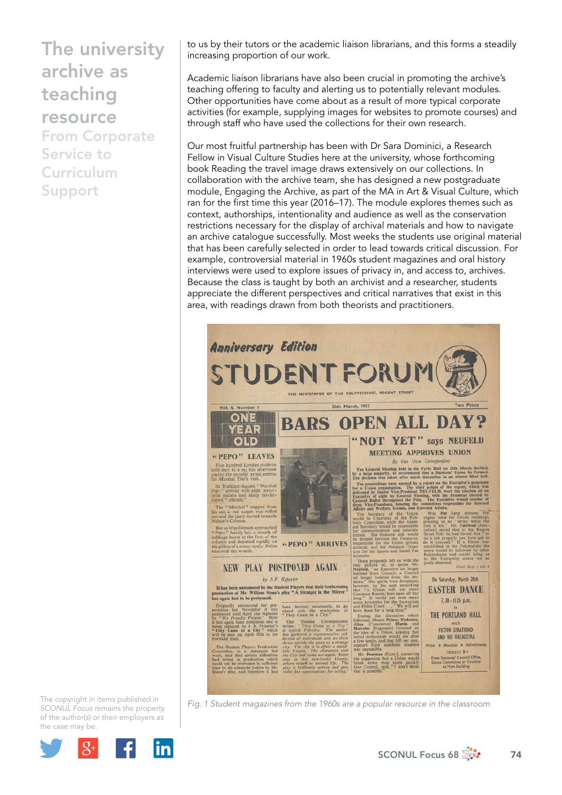From Corporate Service to Curriculum Support

to us by their tutors or the academic liaison librarians, and this forms a steadily increasing proportion of our work.

Academic liaison librarians have also been crucial in promoting the archive's teaching offering to faculty and alerting us to potentially relevant modules. Other opportunities have come about as a result of more typical corporate activities (for example, supplying images for websites to promote courses) and through staff who have used the collections for their own research.

Our most fruitful partnership has been with Dr Sara Dominici, a Research Fellow in Visual Culture Studies here at the university, whose forthcoming book Reading the travel image draws extensively on our collections. In collaboration with the archive team, she has designed a new postgraduate module, Engaging the Archive, as part of the MA in Art & Visual Culture, which ran for the first time this year (2016–17). The module explores themes such as context, authorships, intentionality and audience as well as the conservation restrictions necessary for the display of archival materials and how to navigate an archive catalogue successfully. Most weeks the students use original material that has been carefully selected in order to lead towards critical discussion. For example, controversial material in 1960s student magazines and oral history interviews were used to explore issues of privacy in, and access to, archives. Because the class is taught by both an archivist and a researcher, students appreciate the different perspectives and critical narratives that exist in this area, with readings drawn from both theorists and practitioners.



*Fig. 1 Student magazines from the 1960s are a popular resource in the classroom* 

The copyright in items published in *SCONUL Focus* remains the property of the author(s) or their employers as the case may be.



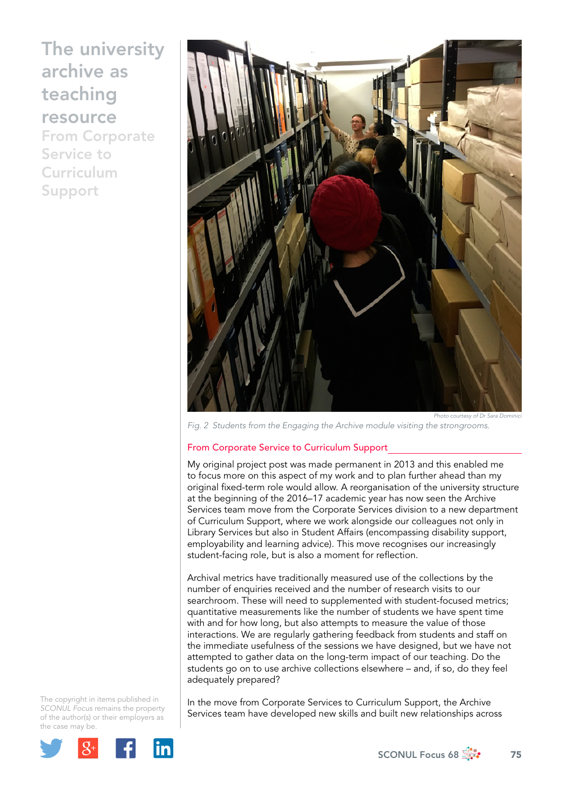From Corporate Service to Curriculum Support



*Fig. 2 Students from the Engaging the Archive module visiting the strongrooms.* 

#### From Corporate Service to Curriculum Support

My original project post was made permanent in 2013 and this enabled me to focus more on this aspect of my work and to plan further ahead than my original fixed-term role would allow. A reorganisation of the university structure at the beginning of the 2016–17 academic year has now seen the Archive Services team move from the Corporate Services division to a new department of Curriculum Support, where we work alongside our colleagues not only in Library Services but also in Student Affairs (encompassing disability support, employability and learning advice). This move recognises our increasingly student-facing role, but is also a moment for reflection.

Archival metrics have traditionally measured use of the collections by the number of enquiries received and the number of research visits to our searchroom. These will need to supplemented with student-focused metrics; quantitative measurements like the number of students we have spent time with and for how long, but also attempts to measure the value of those interactions. We are regularly gathering feedback from students and staff on the immediate usefulness of the sessions we have designed, but we have not attempted to gather data on the long-term impact of our teaching. Do the students go on to use archive collections elsewhere – and, if so, do they feel adequately prepared?

The copyright in items published in *SCONUL Focus* remains the property of the author(s) or their employers as the case may be.



In the move from Corporate Services to Curriculum Support, the Archive Services team have developed new skills and built new relationships across